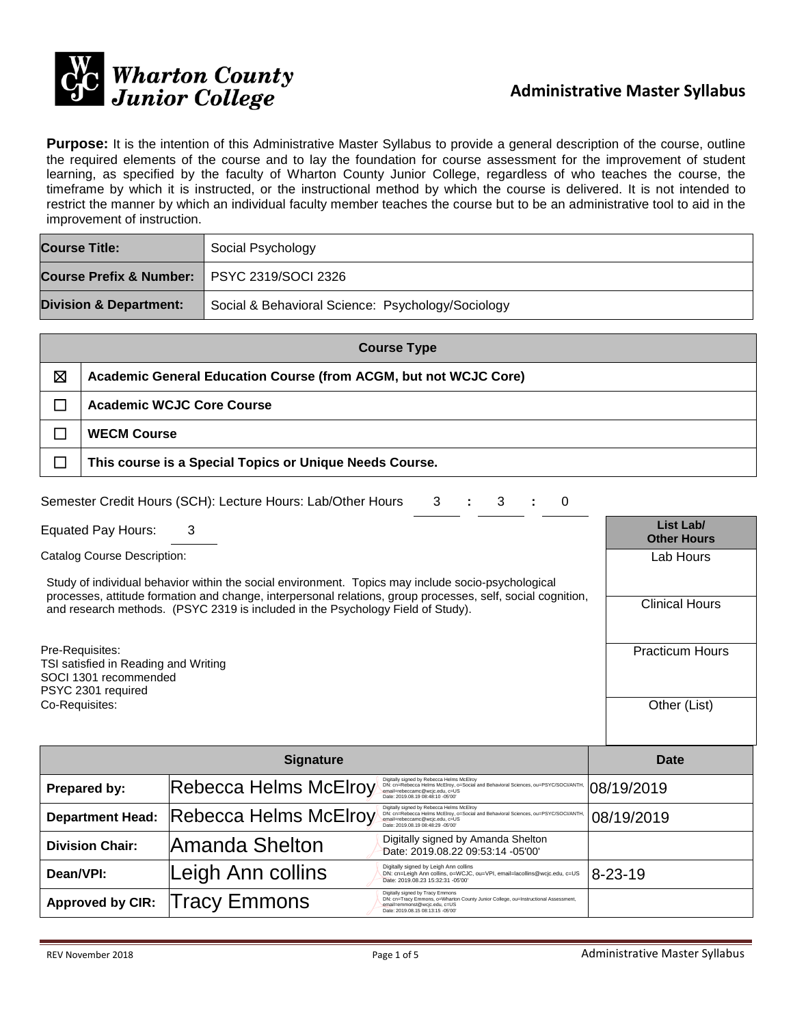

**Purpose:** It is the intention of this Administrative Master Syllabus to provide a general description of the course, outline the required elements of the course and to lay the foundation for course assessment for the improvement of student learning, as specified by the faculty of Wharton County Junior College, regardless of who teaches the course, the timeframe by which it is instructed, or the instructional method by which the course is delivered. It is not intended to restrict the manner by which an individual faculty member teaches the course but to be an administrative tool to aid in the improvement of instruction.

| <b>Course Title:</b>                          | Social Psychology                                 |  |  |
|-----------------------------------------------|---------------------------------------------------|--|--|
| Course Prefix & Number:   PSYC 2319/SOCI 2326 |                                                   |  |  |
| <b>Division &amp; Department:</b>             | Social & Behavioral Science: Psychology/Sociology |  |  |

| <b>Course Type</b> |                                                                  |  |  |  |
|--------------------|------------------------------------------------------------------|--|--|--|
| X                  | Academic General Education Course (from ACGM, but not WCJC Core) |  |  |  |
|                    | <b>Academic WCJC Core Course</b>                                 |  |  |  |
|                    | <b>WECM Course</b>                                               |  |  |  |
|                    | This course is a Special Topics or Unique Needs Course.          |  |  |  |

| Semester Credit Hours (SCH): Lecture Hours: Lab/Other Hours 3 : 3 : 0 |  |  |  |  |  |  |
|-----------------------------------------------------------------------|--|--|--|--|--|--|
|-----------------------------------------------------------------------|--|--|--|--|--|--|

| <b>Equated Pay Hours:</b> |  | List Lab/      |
|---------------------------|--|----------------|
|                           |  | A <sub>1</sub> |

Study of individual behavior within the social environment. Topics may include socio-psychological processes, attitude formation and change, interpersonal relations, group processes, self, social cognition, and research methods. (PSYC 2319 is included in the Psychology Field of Study).

Pre-Requisites: TSI satisfied in Reading and Writing SOCI 1301 recommended PSYC 2301 required<br>Co-Requisites: Co-Requisites: Other (List)

|                         | Date                         |                                                                                                                                                                                                        |               |
|-------------------------|------------------------------|--------------------------------------------------------------------------------------------------------------------------------------------------------------------------------------------------------|---------------|
| Prepared by:            | <b>Rebecca Helms McElroy</b> | Digitally signed by Rebecca Helms McElroy<br>DN: cn=Rebecca Helms McElroy, o=Social and Behavioral Sciences, ou=PSYC/SOCI/ANTH,<br>email=rebeccamc@wcjc.edu, c=US<br>Date: 2019.08.19 08:48:10 -05'00" | 08/19/2019    |
| <b>Department Head:</b> | <b>Rebecca Helms McElroy</b> | Digitally signed by Rebecca Helms McElroy<br>DN: cn=Rebecca Helms McElroy, o=Social and Behavioral Sciences, ou=PSYC/SOCI/ANTH,<br>email=rebeccamc@wcjc.edu, c=US<br>Date: 2019.08.19 08:48:29 -05'00" | 08/19/2019    |
| <b>Division Chair:</b>  | lAmanda Shelton              | Digitally signed by Amanda Shelton<br>Date: 2019.08.22 09:53:14 -05'00'                                                                                                                                |               |
| Dean/VPI:               | Leigh Ann collins            | Digitally signed by Leigh Ann collins<br>DN: cn=Leigh Ann collins, o=WCJC, ou=VPI, email=lacollins@wcjc.edu, c=US<br>Date: 2019.08.23 15:32:31 -05'00'                                                 | $8 - 23 - 19$ |
| <b>Approved by CIR:</b> | Tracy Emmons                 | Digitally signed by Tracy Emmons<br>DN: cn=Tracy Emmons, o=Wharton County Junior College, ou=Instructional Assessment,<br>email=emmonst@wcjc.edu, c=US<br>Date: 2019.08.15 08:13:15 -05'00'            |               |

**Other Hours**

Lab Hours

Clinical Hours

Practicum Hours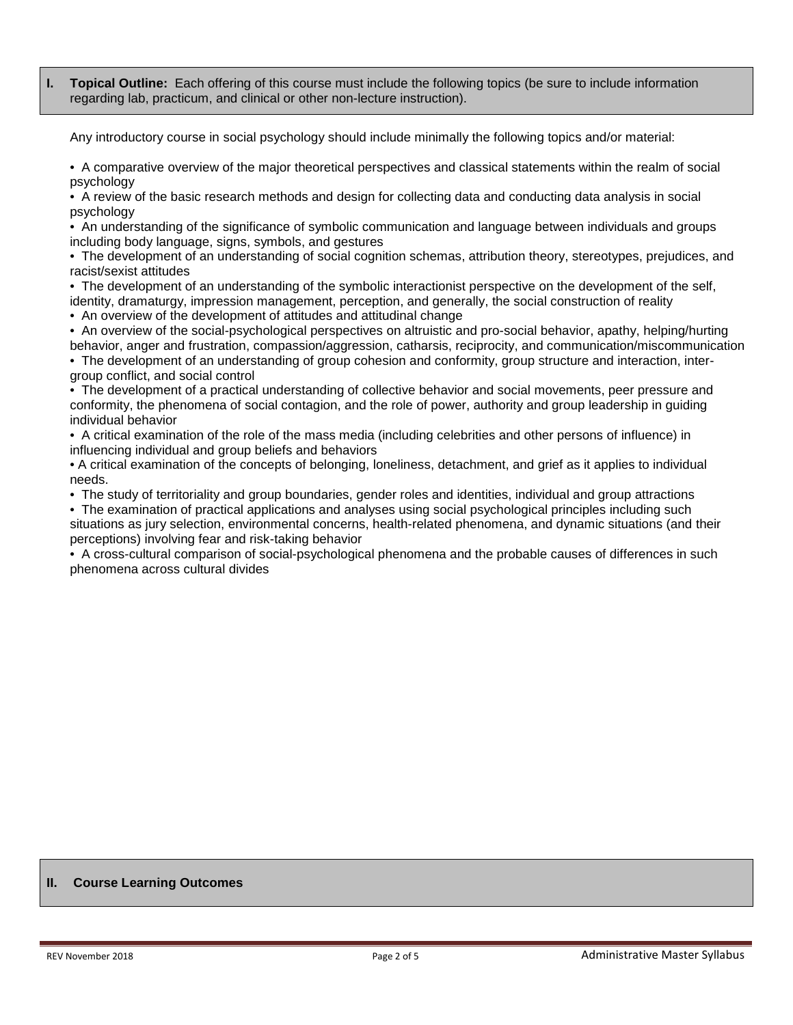**I. Topical Outline:** Each offering of this course must include the following topics (be sure to include information regarding lab, practicum, and clinical or other non-lecture instruction).

Any introductory course in social psychology should include minimally the following topics and/or material:

• A comparative overview of the major theoretical perspectives and classical statements within the realm of social psychology

• A review of the basic research methods and design for collecting data and conducting data analysis in social psychology

• An understanding of the significance of symbolic communication and language between individuals and groups including body language, signs, symbols, and gestures

• The development of an understanding of social cognition schemas, attribution theory, stereotypes, prejudices, and racist/sexist attitudes

• The development of an understanding of the symbolic interactionist perspective on the development of the self, identity, dramaturgy, impression management, perception, and generally, the social construction of reality

• An overview of the development of attitudes and attitudinal change

• An overview of the social-psychological perspectives on altruistic and pro-social behavior, apathy, helping/hurting

behavior, anger and frustration, compassion/aggression, catharsis, reciprocity, and communication/miscommunication • The development of an understanding of group cohesion and conformity, group structure and interaction, inter-

group conflict, and social control

• The development of a practical understanding of collective behavior and social movements, peer pressure and conformity, the phenomena of social contagion, and the role of power, authority and group leadership in guiding individual behavior

• A critical examination of the role of the mass media (including celebrities and other persons of influence) in influencing individual and group beliefs and behaviors

• A critical examination of the concepts of belonging, loneliness, detachment, and grief as it applies to individual needs.

• The study of territoriality and group boundaries, gender roles and identities, individual and group attractions

• The examination of practical applications and analyses using social psychological principles including such

situations as jury selection, environmental concerns, health-related phenomena, and dynamic situations (and their perceptions) involving fear and risk-taking behavior

• A cross-cultural comparison of social-psychological phenomena and the probable causes of differences in such phenomena across cultural divides

## **II. Course Learning Outcomes**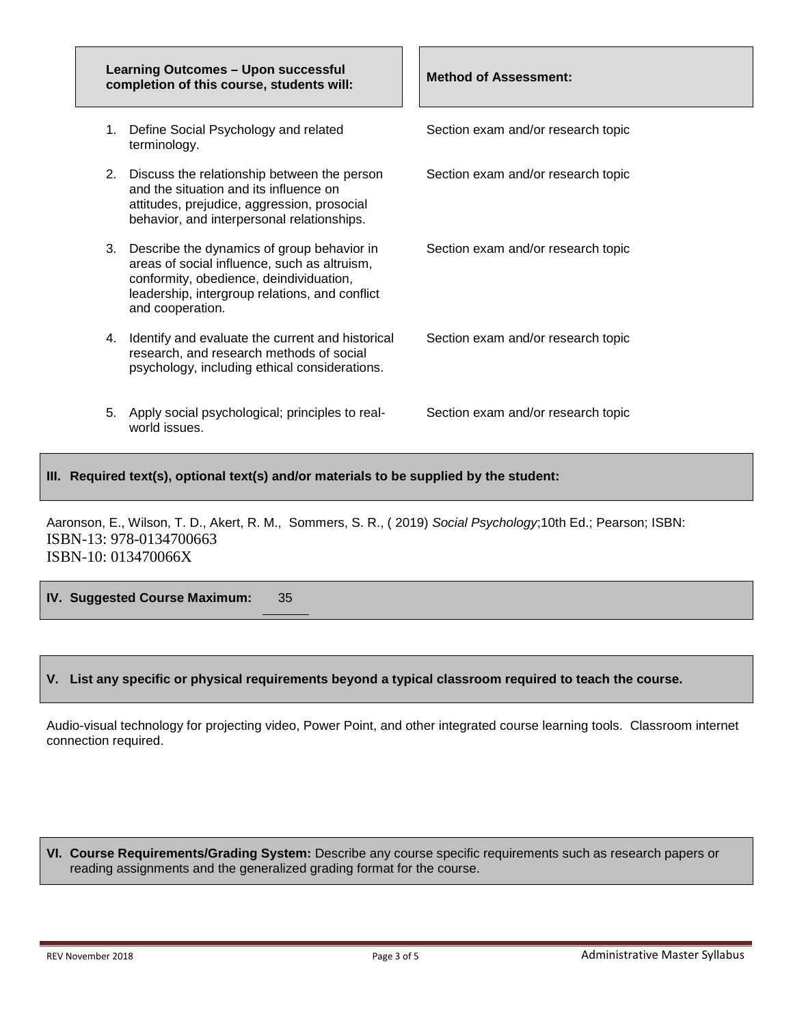| <b>Learning Outcomes - Upon successful</b><br>completion of this course, students will: |                                                                                                                                                                                                                | <b>Method of Assessment:</b>       |
|-----------------------------------------------------------------------------------------|----------------------------------------------------------------------------------------------------------------------------------------------------------------------------------------------------------------|------------------------------------|
|                                                                                         | 1. Define Social Psychology and related<br>terminology.                                                                                                                                                        | Section exam and/or research topic |
|                                                                                         | 2. Discuss the relationship between the person<br>and the situation and its influence on<br>attitudes, prejudice, aggression, prosocial<br>behavior, and interpersonal relationships.                          | Section exam and/or research topic |
|                                                                                         | 3. Describe the dynamics of group behavior in<br>areas of social influence, such as altruism,<br>conformity, obedience, deindividuation,<br>leadership, intergroup relations, and conflict<br>and cooperation. | Section exam and/or research topic |
|                                                                                         | 4. Identify and evaluate the current and historical<br>research, and research methods of social<br>psychology, including ethical considerations.                                                               | Section exam and/or research topic |
|                                                                                         | 5. Apply social psychological; principles to real-<br>world issues.                                                                                                                                            | Section exam and/or research topic |

**III. Required text(s), optional text(s) and/or materials to be supplied by the student:**

Aaronson, E., Wilson, T. D., Akert, R. M., Sommers, S. R., ( 2019) *Social Psychology*;10th Ed.; Pearson; ISBN: ISBN-13: 978-0134700663 ISBN-10: 013470066X

**IV. Suggested Course Maximum:** 35

## **V. List any specific or physical requirements beyond a typical classroom required to teach the course.**

Audio-visual technology for projecting video, Power Point, and other integrated course learning tools. Classroom internet connection required.

**VI. Course Requirements/Grading System:** Describe any course specific requirements such as research papers or reading assignments and the generalized grading format for the course.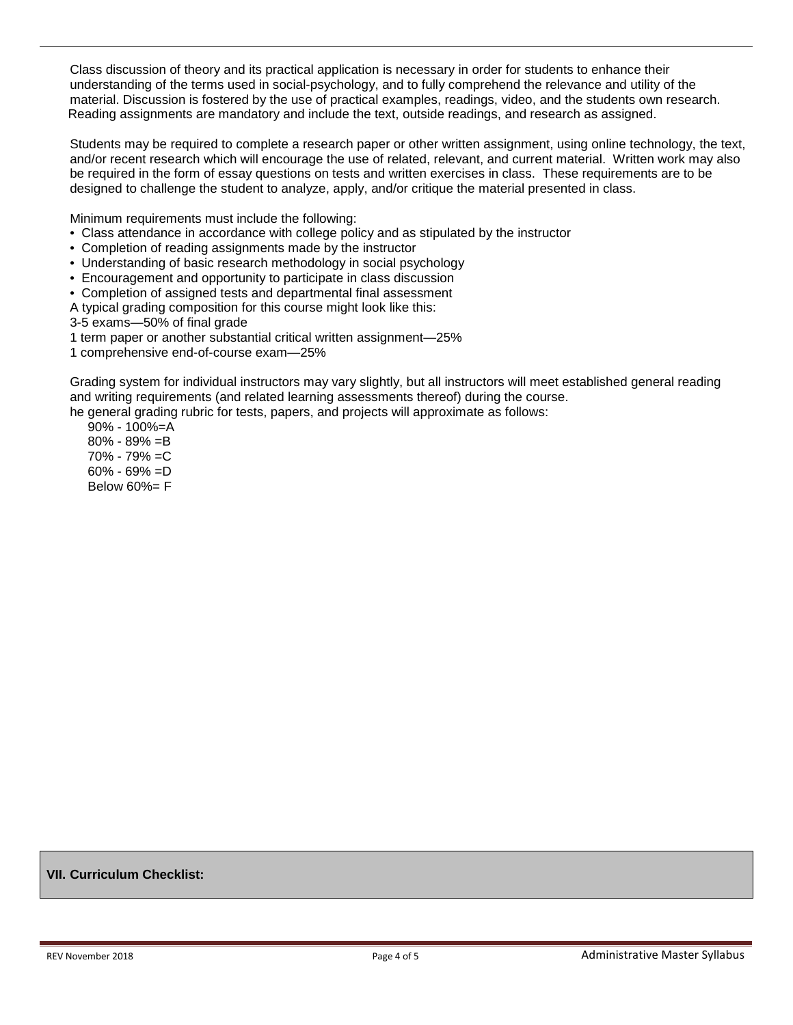Class discussion of theory and its practical application is necessary in order for students to enhance their understanding of the terms used in social-psychology, and to fully comprehend the relevance and utility of the material. Discussion is fostered by the use of practical examples, readings, video, and the students own research. Reading assignments are mandatory and include the text, outside readings, and research as assigned.

Students may be required to complete a research paper or other written assignment, using online technology, the text, and/or recent research which will encourage the use of related, relevant, and current material. Written work may also be required in the form of essay questions on tests and written exercises in class. These requirements are to be designed to challenge the student to analyze, apply, and/or critique the material presented in class.

Minimum requirements must include the following:

- Class attendance in accordance with college policy and as stipulated by the instructor
- Completion of reading assignments made by the instructor
- Understanding of basic research methodology in social psychology
- Encouragement and opportunity to participate in class discussion
- Completion of assigned tests and departmental final assessment

A typical grading composition for this course might look like this:

3-5 exams—50% of final grade

1 term paper or another substantial critical written assignment—25%

1 comprehensive end-of-course exam—25%

Grading system for individual instructors may vary slightly, but all instructors will meet established general reading and writing requirements (and related learning assessments thereof) during the course.

he general grading rubric for tests, papers, and projects will approximate as follows:

 90% - 100%=A 80% - 89% =B 70% - 79% =C 60% - 69% =D Below 60%= F

**VII. Curriculum Checklist:**